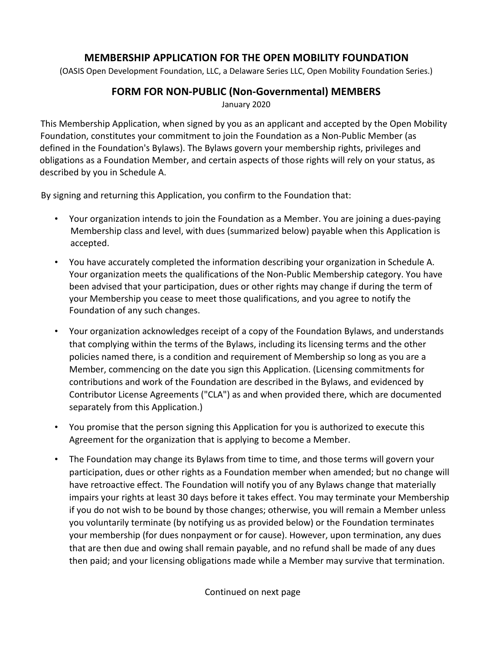## **MEMBERSHIP APPLICATION FOR THE OPEN MOBILITY FOUNDATION**

(OASIS Open Development Foundation, LLC, a Delaware Series LLC, Open Mobility Foundation Series.)

## **FORM FOR NON-PUBLIC (Non-Governmental) MEMBERS**

January 2020

This Membership Application, when signed by you as an applicant and accepted by the Open Mobility Foundation, constitutes your commitment to join the Foundation as a Non-Public Member (as defined in the Foundation's Bylaws). The Bylaws govern your membership rights, privileges and obligations as a Foundation Member, and certain aspects of those rights will rely on your status, as described by you in Schedule A.

By signing and returning this Application, you confirm to the Foundation that:

- Your organization intends to join the Foundation as a Member. You are joining a dues-paying Membership class and level, with dues (summarized below) payable when this Application is accepted.
- You have accurately completed the information describing your organization in Schedule A. Your organization meets the qualifications of the Non-Public Membership category. You have been advised that your participation, dues or other rights may change if during the term of your Membership you cease to meet those qualifications, and you agree to notify the Foundation of any such changes.
- Your organization acknowledges receipt of a copy of the Foundation Bylaws, and understands that complying within the terms of the Bylaws, including its licensing terms and the other policies named there, is a condition and requirement of Membership so long as you are a Member, commencing on the date you sign this Application. (Licensing commitments for contributions and work of the Foundation are described in the Bylaws, and evidenced by Contributor License Agreements ("CLA") as and when provided there, which are documented separately from this Application.)
- You promise that the person signing this Application for you is authorized to execute this Agreement for the organization that is applying to become a Member.
- The Foundation may change its Bylaws from time to time, and those terms will govern your participation, dues or other rights as a Foundation member when amended; but no change will have retroactive effect. The Foundation will notify you of any Bylaws change that materially impairs your rights at least 30 days before it takes effect. You may terminate your Membership if you do not wish to be bound by those changes; otherwise, you will remain a Member unless you voluntarily terminate (by notifying us as provided below) or the Foundation terminates your membership (for dues nonpayment or for cause). However, upon termination, any dues that are then due and owing shall remain payable, and no refund shall be made of any dues then paid; and your licensing obligations made while a Member may survive that termination.

Continued on next page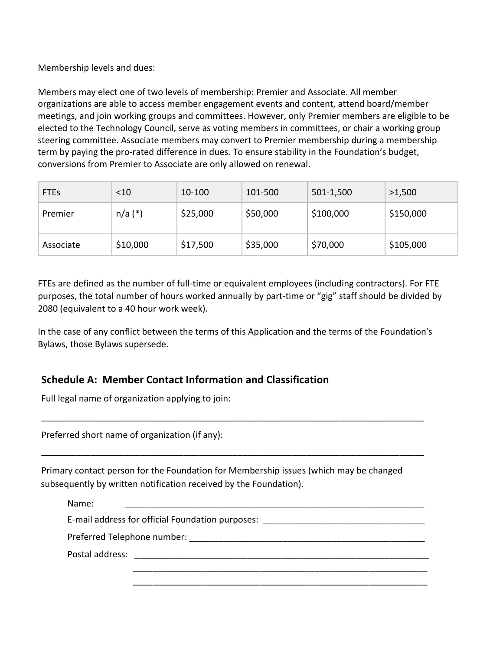Membership levels and dues:

Members may elect one of two levels of membership: Premier and Associate. All member organizations are able to access member engagement events and content, attend board/member meetings, and join working groups and committees. However, only Premier members are eligible to be elected to the Technology Council, serve as voting members in committees, or chair a working group steering committee. Associate members may convert to Premier membership during a membership term by paying the pro-rated difference in dues. To ensure stability in the Foundation's budget, conversions from Premier to Associate are only allowed on renewal.

| <b>FTEs</b> | $<$ 10    | 10-100   | 101-500  | 501-1,500 | >1,500    |
|-------------|-----------|----------|----------|-----------|-----------|
| Premier     | $n/a$ (*) | \$25,000 | \$50,000 | \$100,000 | \$150,000 |
| Associate   | \$10,000  | \$17,500 | \$35,000 | \$70,000  | \$105,000 |

FTEs are defined as the number of full-time or equivalent employees (including contractors). For FTE purposes, the total number of hours worked annually by part-time or "gig" staff should be divided by 2080 (equivalent to a 40 hour work week).

In the case of any conflict between the terms of this Application and the terms of the Foundation's Bylaws, those Bylaws supersede.

\_\_\_\_\_\_\_\_\_\_\_\_\_\_\_\_\_\_\_\_\_\_\_\_\_\_\_\_\_\_\_\_\_\_\_\_\_\_\_\_\_\_\_\_\_\_\_\_\_\_\_\_\_\_\_\_\_\_\_\_\_\_\_\_\_\_\_\_\_\_\_\_\_\_\_\_\_\_

\_\_\_\_\_\_\_\_\_\_\_\_\_\_\_\_\_\_\_\_\_\_\_\_\_\_\_\_\_\_\_\_\_\_\_\_\_\_\_\_\_\_\_\_\_\_\_\_\_\_\_\_\_\_\_\_\_\_\_\_\_\_\_\_\_\_\_\_\_\_\_\_\_\_\_\_\_\_

## **Schedule A: Member Contact Information and Classification**

Full legal name of organization applying to join:

Preferred short name of organization (if any):

Primary contact person for the Foundation for Membership issues (which may be changed subsequently by written notification received by the Foundation).

| Name:                                                                                                                                                                                                                         |
|-------------------------------------------------------------------------------------------------------------------------------------------------------------------------------------------------------------------------------|
| E-mail address for official Foundation purposes:                                                                                                                                                                              |
|                                                                                                                                                                                                                               |
| Postal address: The Contract of Texas and Texas and Texas and Texas and Texas and Texas and Texas and Texas and Texas and Texas and Texas and Texas and Texas and Texas and Texas and Texas and Texas and Texas and Texas and |
|                                                                                                                                                                                                                               |
|                                                                                                                                                                                                                               |